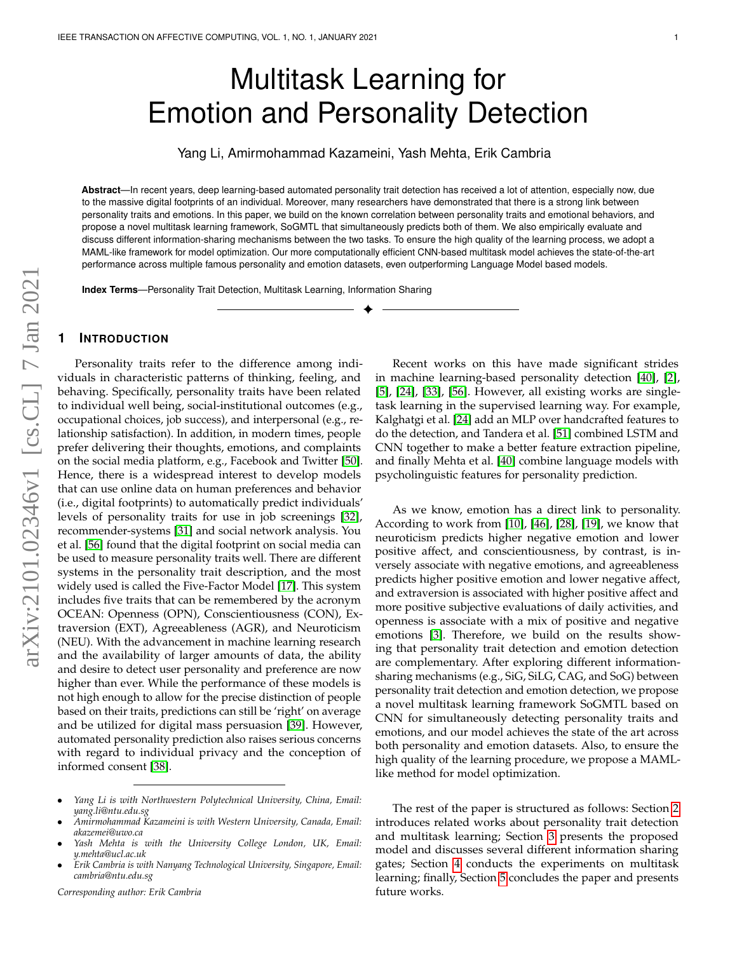# Multitask Learning for Emotion and Personality Detection

Yang Li, Amirmohammad Kazameini, Yash Mehta, Erik Cambria

**Abstract**—In recent years, deep learning-based automated personality trait detection has received a lot of attention, especially now, due to the massive digital footprints of an individual. Moreover, many researchers have demonstrated that there is a strong link between personality traits and emotions. In this paper, we build on the known correlation between personality traits and emotional behaviors, and propose a novel multitask learning framework, SoGMTL that simultaneously predicts both of them. We also empirically evaluate and discuss different information-sharing mechanisms between the two tasks. To ensure the high quality of the learning process, we adopt a MAML-like framework for model optimization. Our more computationally efficient CNN-based multitask model achieves the state-of-the-art performance across multiple famous personality and emotion datasets, even outperforming Language Model based models.

✦

**Index Terms**—Personality Trait Detection, Multitask Learning, Information Sharing

## **1 INTRODUCTION**

Personality traits refer to the difference among individuals in characteristic patterns of thinking, feeling, and behaving. Specifically, personality traits have been related to individual well being, social-institutional outcomes (e.g., occupational choices, job success), and interpersonal (e.g., relationship satisfaction). In addition, in modern times, people prefer delivering their thoughts, emotions, and complaints on the social media platform, e.g., Facebook and Twitter [\[50\]](#page-7-0). Hence, there is a widespread interest to develop models that can use online data on human preferences and behavior (i.e., digital footprints) to automatically predict individuals' levels of personality traits for use in job screenings [\[32\]](#page-6-0), recommender-systems [\[31\]](#page-6-1) and social network analysis. You et al. [\[56\]](#page-7-1) found that the digital footprint on social media can be used to measure personality traits well. There are different systems in the personality trait description, and the most widely used is called the Five-Factor Model [\[17\]](#page-6-2). This system includes five traits that can be remembered by the acronym OCEAN: Openness (OPN), Conscientiousness (CON), Extraversion (EXT), Agreeableness (AGR), and Neuroticism (NEU). With the advancement in machine learning research and the availability of larger amounts of data, the ability and desire to detect user personality and preference are now higher than ever. While the performance of these models is not high enough to allow for the precise distinction of people based on their traits, predictions can still be 'right' on average and be utilized for digital mass persuasion [\[39\]](#page-7-2). However, automated personality prediction also raises serious concerns with regard to individual privacy and the conception of informed consent [\[38\]](#page-7-3).

*Corresponding author: Erik Cambria*

Recent works on this have made significant strides in machine learning-based personality detection [\[40\]](#page-7-4), [\[2\]](#page-5-0), [\[5\]](#page-5-1), [\[24\]](#page-6-3), [\[33\]](#page-6-4), [\[56\]](#page-7-1). However, all existing works are singletask learning in the supervised learning way. For example, Kalghatgi et al. [\[24\]](#page-6-3) add an MLP over handcrafted features to do the detection, and Tandera et al. [\[51\]](#page-7-5) combined LSTM and CNN together to make a better feature extraction pipeline, and finally Mehta et al. [\[40\]](#page-7-4) combine language models with psycholinguistic features for personality prediction.

As we know, emotion has a direct link to personality. According to work from [\[10\]](#page-6-5), [\[46\]](#page-7-6), [\[28\]](#page-6-6), [\[19\]](#page-6-7), we know that neuroticism predicts higher negative emotion and lower positive affect, and conscientiousness, by contrast, is inversely associate with negative emotions, and agreeableness predicts higher positive emotion and lower negative affect, and extraversion is associated with higher positive affect and more positive subjective evaluations of daily activities, and openness is associate with a mix of positive and negative emotions [\[3\]](#page-5-2). Therefore, we build on the results showing that personality trait detection and emotion detection are complementary. After exploring different informationsharing mechanisms (e.g., SiG, SiLG, CAG, and SoG) between personality trait detection and emotion detection, we propose a novel multitask learning framework SoGMTL based on CNN for simultaneously detecting personality traits and emotions, and our model achieves the state of the art across both personality and emotion datasets. Also, to ensure the high quality of the learning procedure, we propose a MAMLlike method for model optimization.

The rest of the paper is structured as follows: Section [2](#page-1-0) introduces related works about personality trait detection and multitask learning; Section [3](#page-1-1) presents the proposed model and discusses several different information sharing gates; Section [4](#page-3-0) conducts the experiments on multitask learning; finally, Section [5](#page-5-3) concludes the paper and presents future works.

<sup>•</sup> *Yang Li is with Northwestern Polytechnical University, China, Email: yang.li@ntu.edu.sg*

<sup>•</sup> *Amirmohammad Kazameini is with Western University, Canada, Email: akazemei@uwo.ca*

<sup>•</sup> *Yash Mehta is with the University College London, UK, Email: y.mehta@ucl.ac.uk*

<sup>•</sup> *Erik Cambria is with Nanyang Technological University, Singapore, Email: cambria@ntu.edu.sg*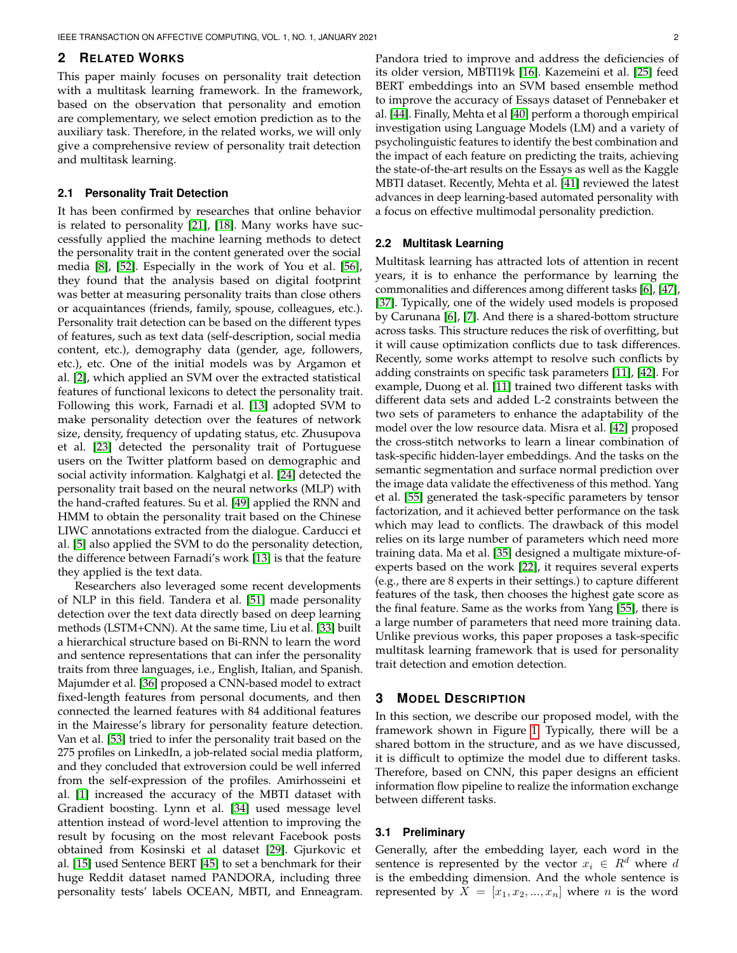# <span id="page-1-0"></span>**2 RELATED WORKS**

This paper mainly focuses on personality trait detection with a multitask learning framework. In the framework, based on the observation that personality and emotion are complementary, we select emotion prediction as to the auxiliary task. Therefore, in the related works, we will only give a comprehensive review of personality trait detection and multitask learning.

## **2.1 Personality Trait Detection**

It has been confirmed by researches that online behavior is related to personality [\[21\]](#page-6-8), [\[18\]](#page-6-9). Many works have successfully applied the machine learning methods to detect the personality trait in the content generated over the social media [\[8\]](#page-5-4), [\[52\]](#page-7-7). Especially in the work of You et al. [\[56\]](#page-7-1), they found that the analysis based on digital footprint was better at measuring personality traits than close others or acquaintances (friends, family, spouse, colleagues, etc.). Personality trait detection can be based on the different types of features, such as text data (self-description, social media content, etc.), demography data (gender, age, followers, etc.), etc. One of the initial models was by Argamon et al. [\[2\]](#page-5-0), which applied an SVM over the extracted statistical features of functional lexicons to detect the personality trait. Following this work, Farnadi et al. [\[13\]](#page-6-10) adopted SVM to make personality detection over the features of network size, density, frequency of updating status, etc. Zhusupova et al. [\[23\]](#page-6-11) detected the personality trait of Portuguese users on the Twitter platform based on demographic and social activity information. Kalghatgi et al. [\[24\]](#page-6-3) detected the personality trait based on the neural networks (MLP) with the hand-crafted features. Su et al. [\[49\]](#page-7-8) applied the RNN and HMM to obtain the personality trait based on the Chinese LIWC annotations extracted from the dialogue. Carducci et al. [\[5\]](#page-5-1) also applied the SVM to do the personality detection, the difference between Farnadi's work [\[13\]](#page-6-10) is that the feature they applied is the text data.

Researchers also leveraged some recent developments of NLP in this field. Tandera et al. [\[51\]](#page-7-5) made personality detection over the text data directly based on deep learning methods (LSTM+CNN). At the same time, Liu et al. [\[33\]](#page-6-4) built a hierarchical structure based on Bi-RNN to learn the word and sentence representations that can infer the personality traits from three languages, i.e., English, Italian, and Spanish. Majumder et al. [\[36\]](#page-7-9) proposed a CNN-based model to extract fixed-length features from personal documents, and then connected the learned features with 84 additional features in the Mairesse's library for personality feature detection. Van et al. [\[53\]](#page-7-10) tried to infer the personality trait based on the 275 profiles on LinkedIn, a job-related social media platform, and they concluded that extroversion could be well inferred from the self-expression of the profiles. Amirhosseini et al. [\[1\]](#page-5-5) increased the accuracy of the MBTI dataset with Gradient boosting. Lynn et al. [\[34\]](#page-6-12) used message level attention instead of word-level attention to improving the result by focusing on the most relevant Facebook posts obtained from Kosinski et al dataset [\[29\]](#page-6-13). Gjurkovic et al. [\[15\]](#page-6-14) used Sentence BERT [\[45\]](#page-7-11) to set a benchmark for their huge Reddit dataset named PANDORA, including three personality tests' labels OCEAN, MBTI, and Enneagram.

Pandora tried to improve and address the deficiencies of its older version, MBTI19k [\[16\]](#page-6-15). Kazemeini et al. [\[25\]](#page-6-16) feed BERT embeddings into an SVM based ensemble method to improve the accuracy of Essays dataset of Pennebaker et al. [\[44\]](#page-7-12). Finally, Mehta et al [\[40\]](#page-7-4) perform a thorough empirical investigation using Language Models (LM) and a variety of psycholinguistic features to identify the best combination and the impact of each feature on predicting the traits, achieving the state-of-the-art results on the Essays as well as the Kaggle MBTI dataset. Recently, Mehta et al. [\[41\]](#page-7-13) reviewed the latest advances in deep learning-based automated personality with a focus on effective multimodal personality prediction.

## **2.2 Multitask Learning**

Multitask learning has attracted lots of attention in recent years, it is to enhance the performance by learning the commonalities and differences among different tasks [\[6\]](#page-5-6), [\[47\]](#page-7-14), [\[37\]](#page-7-15). Typically, one of the widely used models is proposed by Carunana [\[6\]](#page-5-6), [\[7\]](#page-5-7). And there is a shared-bottom structure across tasks. This structure reduces the risk of overfitting, but it will cause optimization conflicts due to task differences. Recently, some works attempt to resolve such conflicts by adding constraints on specific task parameters [\[11\]](#page-6-17), [\[42\]](#page-7-16). For example, Duong et al. [\[11\]](#page-6-17) trained two different tasks with different data sets and added L-2 constraints between the two sets of parameters to enhance the adaptability of the model over the low resource data. Misra et al. [\[42\]](#page-7-16) proposed the cross-stitch networks to learn a linear combination of task-specific hidden-layer embeddings. And the tasks on the semantic segmentation and surface normal prediction over the image data validate the effectiveness of this method. Yang et al. [\[55\]](#page-7-17) generated the task-specific parameters by tensor factorization, and it achieved better performance on the task which may lead to conflicts. The drawback of this model relies on its large number of parameters which need more training data. Ma et al. [\[35\]](#page-7-18) designed a multigate mixture-ofexperts based on the work [\[22\]](#page-6-18), it requires several experts (e.g., there are 8 experts in their settings.) to capture different features of the task, then chooses the highest gate score as the final feature. Same as the works from Yang [\[55\]](#page-7-17), there is a large number of parameters that need more training data. Unlike previous works, this paper proposes a task-specific multitask learning framework that is used for personality trait detection and emotion detection.

# <span id="page-1-1"></span>**3 MODEL DESCRIPTION**

In this section, we describe our proposed model, with the framework shown in Figure [1.](#page-2-0) Typically, there will be a shared bottom in the structure, and as we have discussed, it is difficult to optimize the model due to different tasks. Therefore, based on CNN, this paper designs an efficient information flow pipeline to realize the information exchange between different tasks.

# **3.1 Preliminary**

Generally, after the embedding layer, each word in the sentence is represented by the vector  $x_i \in R^d$  where d is the embedding dimension. And the whole sentence is represented by  $X = [x_1, x_2, ..., x_n]$  where *n* is the word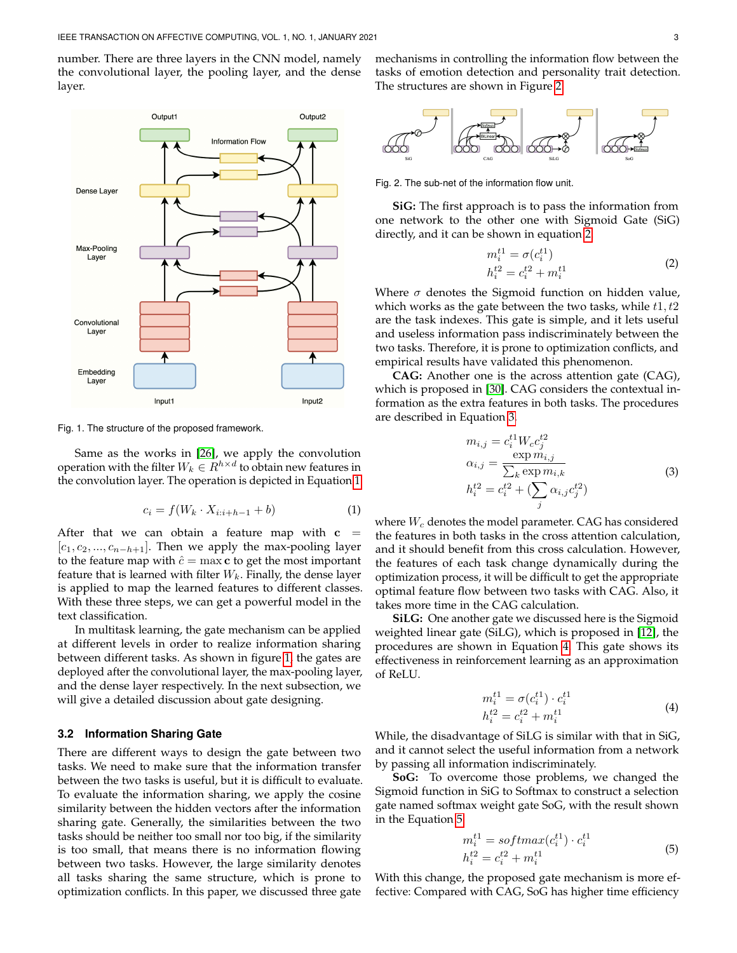number. There are three layers in the CNN model, namely the convolutional layer, the pooling layer, and the dense layer.



Fig. 1. The structure of the proposed framework.

<span id="page-2-1"></span>Same as the works in [\[26\]](#page-6-19), we apply the convolution operation with the filter  $W_k \in R^{h \times d}$  to obtain new features in the convolution layer. The operation is depicted in Equation [1.](#page-2-1)

$$
c_i = f(W_k \cdot X_{i:i+h-1} + b) \tag{1}
$$

After that we can obtain a feature map with  $c =$  $[c_1, c_2, ..., c_{n-h+1}]$ . Then we apply the max-pooling layer to the feature map with  $\hat{c} = \max c$  to get the most important feature that is learned with filter  $W_k$ . Finally, the dense layer is applied to map the learned features to different classes. With these three steps, we can get a powerful model in the text classification.

In multitask learning, the gate mechanism can be applied at different levels in order to realize information sharing between different tasks. As shown in figure [1,](#page-2-0) the gates are deployed after the convolutional layer, the max-pooling layer, and the dense layer respectively. In the next subsection, we will give a detailed discussion about gate designing.

# **3.2 Information Sharing Gate**

There are different ways to design the gate between two tasks. We need to make sure that the information transfer between the two tasks is useful, but it is difficult to evaluate. To evaluate the information sharing, we apply the cosine similarity between the hidden vectors after the information sharing gate. Generally, the similarities between the two tasks should be neither too small nor too big, if the similarity is too small, that means there is no information flowing between two tasks. However, the large similarity denotes all tasks sharing the same structure, which is prone to optimization conflicts. In this paper, we discussed three gate

mechanisms in controlling the information flow between the tasks of emotion detection and personality trait detection. The structures are shown in Figure [2.](#page-2-2)



Fig. 2. The sub-net of the information flow unit.

**SiG:** The first approach is to pass the information from one network to the other one with Sigmoid Gate (SiG) directly, and it can be shown in equation [2.](#page-2-3)

<span id="page-2-3"></span><span id="page-2-2"></span>
$$
m_i^{t1} = \sigma(c_i^{t1})
$$
  
\n
$$
h_i^{t2} = c_i^{t2} + m_i^{t1}
$$
\n(2)

Where  $\sigma$  denotes the Sigmoid function on hidden value, which works as the gate between the two tasks, while  $t1, t2$ are the task indexes. This gate is simple, and it lets useful and useless information pass indiscriminately between the two tasks. Therefore, it is prone to optimization conflicts, and empirical results have validated this phenomenon.

<span id="page-2-4"></span><span id="page-2-0"></span>**CAG:** Another one is the across attention gate (CAG), which is proposed in [\[30\]](#page-6-20). CAG considers the contextual information as the extra features in both tasks. The procedures are described in Equation [3.](#page-2-4)

$$
m_{i,j} = c_i^{t1} W_c c_j^{t2}
$$
  
\n
$$
\alpha_{i,j} = \frac{\exp m_{i,j}}{\sum_k \exp m_{i,k}}
$$
  
\n
$$
h_i^{t2} = c_i^{t2} + (\sum_j \alpha_{i,j} c_j^{t2})
$$
\n(3)

where  $W_c$  denotes the model parameter. CAG has considered the features in both tasks in the cross attention calculation, and it should benefit from this cross calculation. However, the features of each task change dynamically during the optimization process, it will be difficult to get the appropriate optimal feature flow between two tasks with CAG. Also, it takes more time in the CAG calculation.

**SiLG:** One another gate we discussed here is the Sigmoid weighted linear gate (SiLG), which is proposed in [\[12\]](#page-6-21), the procedures are shown in Equation [4.](#page-2-5) This gate shows its effectiveness in reinforcement learning as an approximation of ReLU.

$$
m_i^{t1} = \sigma(c_i^{t1}) \cdot c_i^{t1} h_i^{t2} = c_i^{t2} + m_i^{t1}
$$
 (4)

<span id="page-2-5"></span>While, the disadvantage of SiLG is similar with that in SiG, and it cannot select the useful information from a network by passing all information indiscriminately.

**SoG:** To overcome those problems, we changed the Sigmoid function in SiG to Softmax to construct a selection gate named softmax weight gate SoG, with the result shown in the Equation [5.](#page-2-6)

<span id="page-2-6"></span>
$$
m_i^{t1} = softmax(c_i^{t1}) \cdot c_i^{t1}
$$
  
\n
$$
h_i^{t2} = c_i^{t2} + m_i^{t1}
$$
\n(5)

With this change, the proposed gate mechanism is more effective: Compared with CAG, SoG has higher time efficiency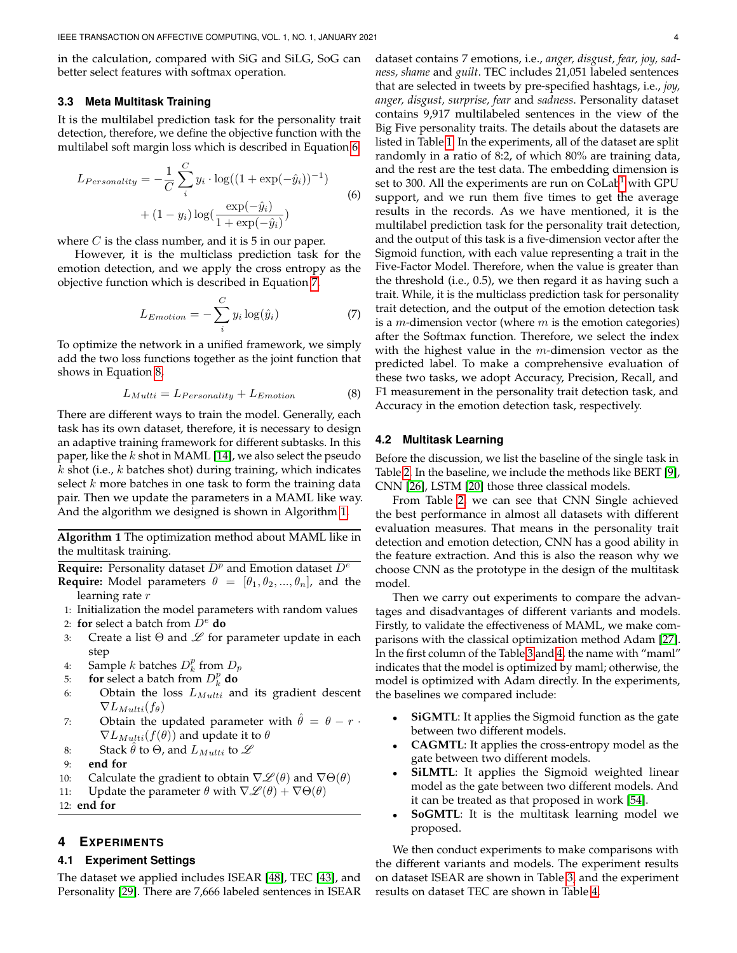in the calculation, compared with SiG and SiLG, SoG can better select features with softmax operation.

#### **3.3 Meta Multitask Training**

It is the multilabel prediction task for the personality trait detection, therefore, we define the objective function with the multilabel soft margin loss which is described in Equation [6](#page-3-1)

$$
L_{Personality} = -\frac{1}{C} \sum_{i}^{C} y_i \cdot \log((1 + \exp(-\hat{y}_i))^{-1})
$$
  
+ 
$$
(1 - y_i) \log(\frac{\exp(-\hat{y}_i)}{1 + \exp(-\hat{y}_i)})
$$
 (6)

where  $C$  is the class number, and it is  $5$  in our paper.

However, it is the multiclass prediction task for the emotion detection, and we apply the cross entropy as the objective function which is described in Equation [7.](#page-3-2)

$$
L_{Emotion} = -\sum_{i}^{C} y_i \log(\hat{y}_i)
$$
 (7)

To optimize the network in a unified framework, we simply add the two loss functions together as the joint function that shows in Equation [8,](#page-3-3)

<span id="page-3-3"></span>
$$
L_{Multi} = L_{Personality} + L_{Emotion}
$$
 (8)

There are different ways to train the model. Generally, each task has its own dataset, therefore, it is necessary to design an adaptive training framework for different subtasks. In this paper, like the  $k$  shot in MAML [\[14\]](#page-6-22), we also select the pseudo  $k$  shot (i.e.,  $k$  batches shot) during training, which indicates select  $k$  more batches in one task to form the training data pair. Then we update the parameters in a MAML like way. And the algorithm we designed is shown in Algorithm [1.](#page-3-4)

**Algorithm 1** The optimization method about MAML like in the multitask training.

<span id="page-3-4"></span>**Require:** Personality dataset  $D^p$  and Emotion dataset  $D^e$ **Require:** Model parameters  $\theta = [\theta_1, \theta_2, ..., \theta_n]$ , and the learning rate r

- 1: Initialization the model parameters with random values
- 2: **for** select a batch from D<sup>e</sup> **do**
- 3: Create a list  $\Theta$  and  $\mathscr L$  for parameter update in each step
- 4: Sample *k* batches  $D_k^p$  from  $D_p$
- 5: **for** select a batch from  $D_k^p$  **do**
- 6: Obtain the loss  $L_{Multi}$  and its gradient descent  $\nabla L_{Multi}(f_{\theta})$
- 7: Obtain the updated parameter with  $\hat{\theta} = \theta r$ .  $\nabla L_{Multi}(f(\theta))$  and update it to  $\theta$
- 8: Stack  $\hat{\theta}$  to  $\Theta$ , and  $L_{Multi}$  to  $\mathscr L$
- 9: **end for**
- 10: Calculate the gradient to obtain  $\nabla \mathcal{L}(\theta)$  and  $\nabla \Theta(\theta)$
- 11: Update the parameter  $\theta$  with  $\nabla \mathcal{L}(\theta) + \nabla \Theta(\theta)$
- 12: **end for**

# <span id="page-3-0"></span>**4 EXPERIMENTS**

## **4.1 Experiment Settings**

The dataset we applied includes ISEAR [\[48\]](#page-7-19), TEC [\[43\]](#page-7-20), and Personality [\[29\]](#page-6-13). There are 7,666 labeled sentences in ISEAR <span id="page-3-1"></span>dataset contains 7 emotions, i.e., *anger, disgust, fear, joy, sadness, shame* and *guilt*. TEC includes 21,051 labeled sentences that are selected in tweets by pre-specified hashtags, i.e., *joy, anger, disgust, surprise, fear* and *sadness*. Personality dataset contains 9,917 multilabeled sentences in the view of the Big Five personality traits. The details about the datasets are listed in Table [1.](#page-4-0) In the experiments, all of the dataset are split randomly in a ratio of 8:2, of which 80% are training data, and the rest are the test data. The embedding dimension is set to 300. All the experiments are run on  $\text{Col}$ <sup>[1](#page-4-1)</sup> with GPU support, and we run them five times to get the average results in the records. As we have mentioned, it is the multilabel prediction task for the personality trait detection, and the output of this task is a five-dimension vector after the Sigmoid function, with each value representing a trait in the Five-Factor Model. Therefore, when the value is greater than the threshold (i.e., 0.5), we then regard it as having such a trait. While, it is the multiclass prediction task for personality trait detection, and the output of the emotion detection task is a  $m$ -dimension vector (where  $m$  is the emotion categories) after the Softmax function. Therefore, we select the index with the highest value in the  $m$ -dimension vector as the predicted label. To make a comprehensive evaluation of these two tasks, we adopt Accuracy, Precision, Recall, and F1 measurement in the personality trait detection task, and Accuracy in the emotion detection task, respectively.

#### <span id="page-3-2"></span>**4.2 Multitask Learning**

Before the discussion, we list the baseline of the single task in Table [2.](#page-4-2) In the baseline, we include the methods like BERT [\[9\]](#page-6-23), CNN [\[26\]](#page-6-19), LSTM [\[20\]](#page-6-24) those three classical models.

From Table [2,](#page-4-2) we can see that CNN Single achieved the best performance in almost all datasets with different evaluation measures. That means in the personality trait detection and emotion detection, CNN has a good ability in the feature extraction. And this is also the reason why we choose CNN as the prototype in the design of the multitask model.

Then we carry out experiments to compare the advantages and disadvantages of different variants and models. Firstly, to validate the effectiveness of MAML, we make comparisons with the classical optimization method Adam [\[27\]](#page-6-25). In the first column of the Table [3](#page-4-3) and [4,](#page-4-4) the name with "maml" indicates that the model is optimized by maml; otherwise, the model is optimized with Adam directly. In the experiments, the baselines we compared include:

- **SiGMTL:** It applies the Sigmoid function as the gate between two different models.
- **CAGMTL**: It applies the cross-entropy model as the gate between two different models.
- SiLMTL: It applies the Sigmoid weighted linear model as the gate between two different models. And it can be treated as that proposed in work [\[54\]](#page-7-21).
- **SoGMTL**: It is the multitask learning model we proposed.

We then conduct experiments to make comparisons with the different variants and models. The experiment results on dataset ISEAR are shown in Table [3,](#page-4-3) and the experiment results on dataset TEC are shown in Table [4.](#page-4-4)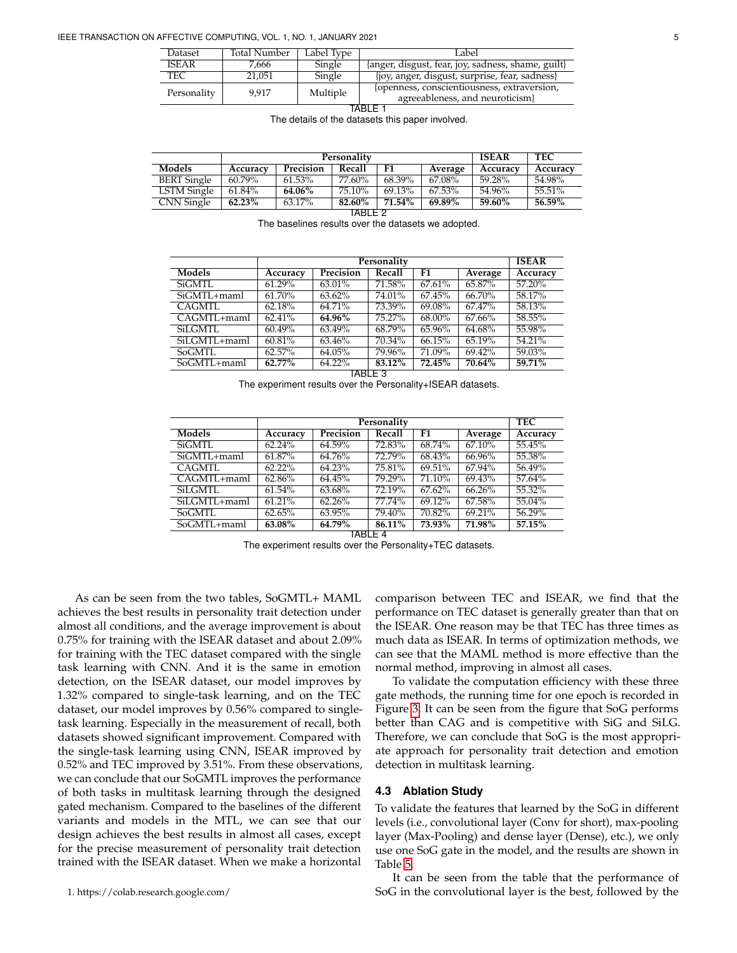| Dataset              | Total Number | Label Type | Label                                                                          |  |  |
|----------------------|--------------|------------|--------------------------------------------------------------------------------|--|--|
| <b>ISEAR</b>         | 7,666        | Single     | {anger, disgust, fear, joy, sadness, shame, guilt}                             |  |  |
| TEC                  | 21.051       | Single     | {joy, anger, disgust, surprise, fear, sadness}                                 |  |  |
| 9.917<br>Personality |              | Multiple   | {openness, conscientiousness, extraversion,<br>agreeableness, and neuroticism} |  |  |
|                      |              |            |                                                                                |  |  |

<span id="page-4-2"></span><span id="page-4-0"></span>The details of the datasets this paper involved.

|                    |          | Personality | <b>ISEAR</b> | <b>TEC</b> |         |          |          |
|--------------------|----------|-------------|--------------|------------|---------|----------|----------|
| Models             | Accuracy | Precision   | Recall       | F1         | Average | Accuracy | Accuracy |
| <b>BERT</b> Single | 60.79%   | 61.53%      | 77.60%       | 68.39%     | 67.08%  | 59.28%   | 54.98%   |
| LSTM Single        | 61.84%   | 64.06%      | 75.10%       | 69.13%     | 67.53%  | 54.96%   | 55.51%   |
| CNN Single         | 62.23%   | 63.17%      | 82.60%       | 71.54%     | 69.89%  | 59.60%   | 56.59%   |
| TARI F 2           |          |             |              |            |         |          |          |

<span id="page-4-3"></span>The baselines results over the datasets we adopted.

|                 | Personality |           |           |        |           | <b>ISEAR</b> |
|-----------------|-------------|-----------|-----------|--------|-----------|--------------|
| <b>Models</b>   | Accuracy    | Precision | Recall    | F1     | Average   | Accuracy     |
| SiGMTL          | 61.29%      | 63.01%    | 71.58%    | 67.61% | 65.87%    | 57.20%       |
| $SiGMTL + manl$ | 61.70%      | 63.62%    | 74.01%    | 67.45% | 66.70%    | 58.17%       |
| CAGMTL          | 62.18%      | 64.71%    | 73.39%    | 69.08% | 67.47%    | 58.13%       |
| $CAGMTL + man$  | 62.41%      | 64.96%    | $75.27\%$ | 68.00% | 67.66%    | 58.55%       |
| <b>SiLGMTL</b>  | 60.49%      | 63.49%    | 68.79%    | 65.96% | 64.68%    | 55.98%       |
| SiLGMTL+maml    | 60.81%      | 63.46%    | 70.34%    | 66.15% | 65.19%    | 54.21%       |
| <b>SoGMTL</b>   | 62.57%      | 64.05%    | 79.96%    | 71.09% | $69.42\%$ | 59.03%       |
| SoGMTL+maml     | 62.77%      | $64.22\%$ | 83.12%    | 72.45% | 70.64%    | 59.71%       |
| TABLE 3         |             |           |           |        |           |              |

The experiment results over the Personality+ISEAR datasets.

|                                   |           | <b>TEC</b> |        |        |         |          |
|-----------------------------------|-----------|------------|--------|--------|---------|----------|
| <b>Models</b>                     | Accuracy  | Precision  | Recall | F1     | Average | Accuracy |
| <b>SiGMTL</b>                     | 62.24%    | 64.59%     | 72.83% | 68.74% | 67.10%  | 55.45%   |
| SiGMTL+maml                       | 61.87%    | 64.76%     | 72.79% | 68.43% | 66.96%  | 55.38%   |
| CAGMTL                            | $62.22\%$ | 64.23%     | 75.81% | 69.51% | 67.94%  | 56.49%   |
| $\overline{\text{CAGMTL}+$ maml   | 62.86%    | 64.45%     | 79.29% | 71.10% | 69.43%  | 57.64%   |
| SiLGMTL                           | 61.54%    | 63.68%     | 72.19% | 67.62% | 66.26%  | 55.32%   |
| $\overline{\text{SiL}}$ GMTL+maml | 61.21%    | 62.26%     | 77.74% | 69.12% | 67.58%  | 55.04%   |
| SoGMTL                            | 62.65%    | 63.95%     | 79.40% | 70.82% | 69.21%  | 56.29%   |
| $SoGMTL +$ maml                   | 63.08%    | 64.79%     | 86.11% | 73.93% | 71.98%  | 57.15%   |

TABLE 4

The experiment results over the Personality+TEC datasets.

<span id="page-4-1"></span>As can be seen from the two tables, SoGMTL+ MAML achieves the best results in personality trait detection under almost all conditions, and the average improvement is about 0.75% for training with the ISEAR dataset and about 2.09% for training with the TEC dataset compared with the single task learning with CNN. And it is the same in emotion detection, on the ISEAR dataset, our model improves by 1.32% compared to single-task learning, and on the TEC dataset, our model improves by 0.56% compared to singletask learning. Especially in the measurement of recall, both datasets showed significant improvement. Compared with the single-task learning using CNN, ISEAR improved by 0.52% and TEC improved by 3.51%. From these observations, we can conclude that our SoGMTL improves the performance of both tasks in multitask learning through the designed gated mechanism. Compared to the baselines of the different variants and models in the MTL, we can see that our design achieves the best results in almost all cases, except for the precise measurement of personality trait detection trained with the ISEAR dataset. When we make a horizontal

<span id="page-4-4"></span>comparison between TEC and ISEAR, we find that the performance on TEC dataset is generally greater than that on the ISEAR. One reason may be that TEC has three times as much data as ISEAR. In terms of optimization methods, we can see that the MAML method is more effective than the normal method, improving in almost all cases.

To validate the computation efficiency with these three gate methods, the running time for one epoch is recorded in Figure [3.](#page-5-8) It can be seen from the figure that SoG performs better than CAG and is competitive with SiG and SiLG. Therefore, we can conclude that SoG is the most appropriate approach for personality trait detection and emotion detection in multitask learning.

## **4.3 Ablation Study**

To validate the features that learned by the SoG in different levels (i.e., convolutional layer (Conv for short), max-pooling layer (Max-Pooling) and dense layer (Dense), etc.), we only use one SoG gate in the model, and the results are shown in Table [5.](#page-5-9)

It can be seen from the table that the performance of SoG in the convolutional layer is the best, followed by the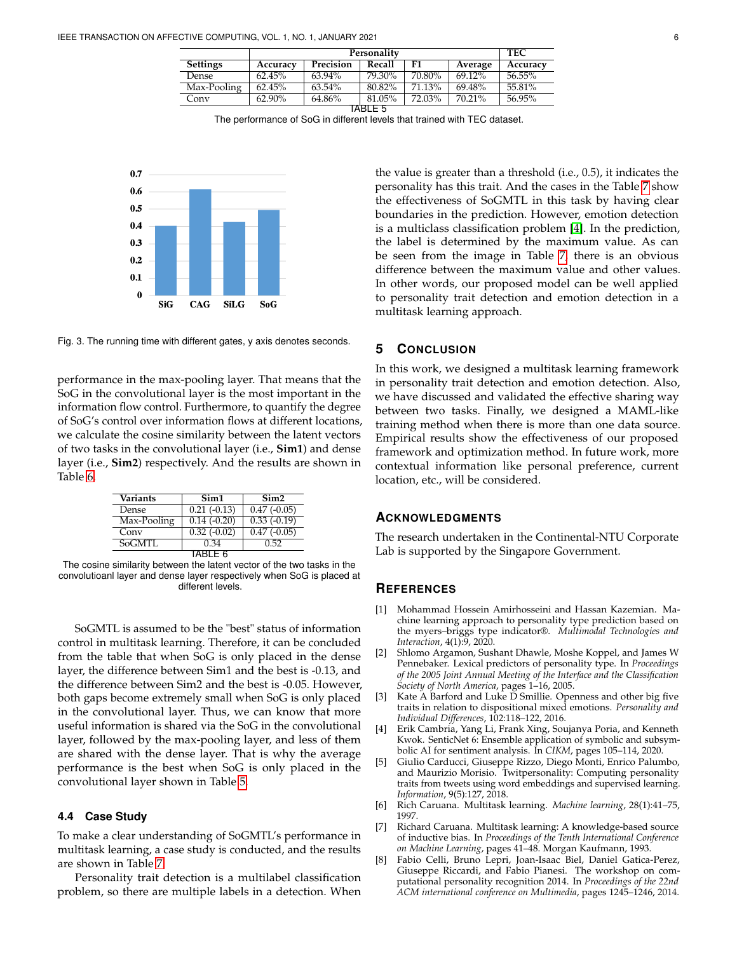|                 |          | <b>TEC</b> |           |        |           |          |
|-----------------|----------|------------|-----------|--------|-----------|----------|
| <b>Settings</b> | Accuracy | Precision  | Recall    | F1     | Average   | Accuracy |
| Dense           | 62.45%   | $63.94\%$  | $79.30\%$ | 70.80% | $69.12\%$ | 56.55%   |
| Max-Pooling     | 62.45%   | $63.54\%$  | 80.82%    | 71.13% | 69.48%    | 55.81%   |
| Conv            | 62.90%   | 64.86%     | 81.05%    | 72.03% | 70.21%    | 56.95%   |
| TARI F 5        |          |            |           |        |           |          |

The performance of SoG in different levels that trained with TEC dataset.



<span id="page-5-8"></span>Fig. 3. The running time with different gates, y axis denotes seconds.

performance in the max-pooling layer. That means that the SoG in the convolutional layer is the most important in the information flow control. Furthermore, to quantify the degree of SoG's control over information flows at different locations, we calculate the cosine similarity between the latent vectors of two tasks in the convolutional layer (i.e., **Sim1**) and dense layer (i.e., **Sim2**) respectively. And the results are shown in Table [6.](#page-5-10)

| Variants    | Sim1                      | Sim <sub>2</sub> |  |  |  |  |
|-------------|---------------------------|------------------|--|--|--|--|
| Dense       | $0.21 \overline{(-0.13)}$ | $0.47(-0.05)$    |  |  |  |  |
| Max-Pooling | $0.14(-0.20)$             | $0.33(-0.19)$    |  |  |  |  |
| Conv        | $0.32(-0.02)$             | $0.47(-0.05)$    |  |  |  |  |
| SoGMTL      | 0.34                      | 0.52             |  |  |  |  |
| TABI F 6    |                           |                  |  |  |  |  |

The cosine similarity between the latent vector of the two tasks in the convolutioanl layer and dense layer respectively when SoG is placed at different levels.

SoGMTL is assumed to be the "best" status of information control in multitask learning. Therefore, it can be concluded from the table that when SoG is only placed in the dense layer, the difference between Sim1 and the best is -0.13, and the difference between Sim2 and the best is -0.05. However, both gaps become extremely small when SoG is only placed in the convolutional layer. Thus, we can know that more useful information is shared via the SoG in the convolutional layer, followed by the max-pooling layer, and less of them are shared with the dense layer. That is why the average performance is the best when SoG is only placed in the convolutional layer shown in Table [5.](#page-5-9)

# **4.4 Case Study**

To make a clear understanding of SoGMTL's performance in multitask learning, a case study is conducted, and the results are shown in Table [7.](#page-6-26)

Personality trait detection is a multilabel classification problem, so there are multiple labels in a detection. When

<span id="page-5-9"></span>the value is greater than a threshold (i.e., 0.5), it indicates the personality has this trait. And the cases in the Table [7](#page-6-26) show the effectiveness of SoGMTL in this task by having clear boundaries in the prediction. However, emotion detection is a multiclass classification problem [\[4\]](#page-5-11). In the prediction, the label is determined by the maximum value. As can be seen from the image in Table [7,](#page-6-26) there is an obvious difference between the maximum value and other values. In other words, our proposed model can be well applied to personality trait detection and emotion detection in a multitask learning approach.

# <span id="page-5-3"></span>**5 CONCLUSION**

In this work, we designed a multitask learning framework in personality trait detection and emotion detection. Also, we have discussed and validated the effective sharing way between two tasks. Finally, we designed a MAML-like training method when there is more than one data source. Empirical results show the effectiveness of our proposed framework and optimization method. In future work, more contextual information like personal preference, current location, etc., will be considered.

# <span id="page-5-10"></span>**ACKNOWLEDGMENTS**

The research undertaken in the Continental-NTU Corporate Lab is supported by the Singapore Government.

# **REFERENCES**

- <span id="page-5-5"></span>[1] Mohammad Hossein Amirhosseini and Hassan Kazemian. Machine learning approach to personality type prediction based on the myers–briggs type indicator®. *Multimodal Technologies and Interaction*, 4(1):9, 2020.
- <span id="page-5-0"></span>[2] Shlomo Argamon, Sushant Dhawle, Moshe Koppel, and James W Pennebaker. Lexical predictors of personality type. In *Proceedings of the 2005 Joint Annual Meeting of the Interface and the Classification Society of North America*, pages 1–16, 2005.
- <span id="page-5-2"></span>[3] Kate A Barford and Luke D Smillie. Openness and other big five traits in relation to dispositional mixed emotions. *Personality and Individual Differences*, 102:118–122, 2016.
- <span id="page-5-11"></span>[4] Erik Cambria, Yang Li, Frank Xing, Soujanya Poria, and Kenneth Kwok. SenticNet 6: Ensemble application of symbolic and subsymbolic AI for sentiment analysis. In *CIKM*, pages 105–114, 2020.
- <span id="page-5-1"></span>[5] Giulio Carducci, Giuseppe Rizzo, Diego Monti, Enrico Palumbo, and Maurizio Morisio. Twitpersonality: Computing personality traits from tweets using word embeddings and supervised learning. *Information*, 9(5):127, 2018.
- <span id="page-5-6"></span>[6] Rich Caruana. Multitask learning. *Machine learning*, 28(1):41–75, 1997.
- <span id="page-5-7"></span>[7] Richard Caruana. Multitask learning: A knowledge-based source of inductive bias. In *Proceedings of the Tenth International Conference on Machine Learning*, pages 41–48. Morgan Kaufmann, 1993.
- <span id="page-5-4"></span>[8] Fabio Celli, Bruno Lepri, Joan-Isaac Biel, Daniel Gatica-Perez, Giuseppe Riccardi, and Fabio Pianesi. The workshop on computational personality recognition 2014. In *Proceedings of the 22nd ACM international conference on Multimedia*, pages 1245–1246, 2014.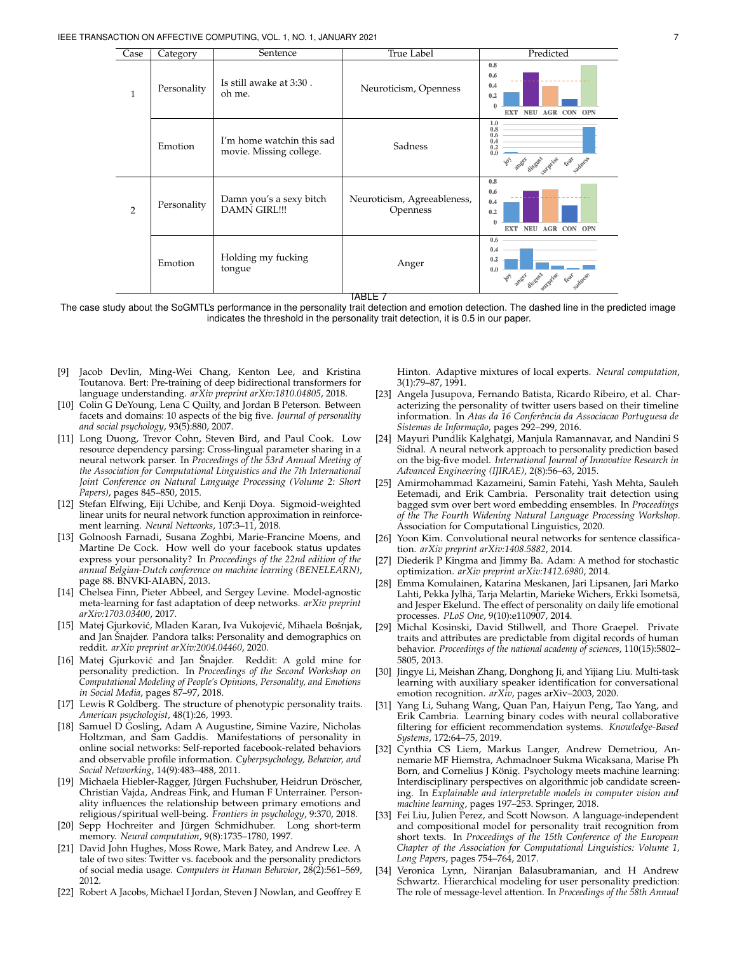| Case           | Category    | Sentence                                             | True Label                              | Predicted                                                                                   |  |
|----------------|-------------|------------------------------------------------------|-----------------------------------------|---------------------------------------------------------------------------------------------|--|
| $\mathbf{1}$   | Personality | Is still awake at 3:30.<br>oh me.                    | Neuroticism, Openness                   | 0.8<br>0.6<br>0.4<br>0.2<br>$\theta$<br>EXT NEU AGR CON OPN                                 |  |
|                | Emotion     | I'm home watchin this sad<br>movie. Missing college. | Sadness                                 | 1.0<br>0.8<br>0.6<br>0.4<br>0.2<br>0.0<br>adness<br>Feat<br>anger disgust<br>Surprise<br>چ. |  |
| $\overline{2}$ | Personality | Damn you's a sexy bitch<br><b>DAMN GIRL!!!</b>       | Neuroticism, Agreeableness,<br>Openness | 0.8<br>0.6<br>0.4<br>0.2<br>$\theta$<br><b>NEU</b><br><b>EXT</b><br><b>AGR CON OPN</b>      |  |
|                | Emotion     | Holding my fucking<br>tongue                         | Anger<br>.                              | 0.6<br>0.4<br>0.2<br>0.0<br>10% anger disgress<br>surprise<br>Sadness<br>Feat               |  |

<span id="page-6-26"></span>TABLE 7

The case study about the SoGMTL's performance in the personality trait detection and emotion detection. The dashed line in the predicted image indicates the threshold in the personality trait detection, it is 0.5 in our paper.

- <span id="page-6-23"></span>[9] Jacob Devlin, Ming-Wei Chang, Kenton Lee, and Kristina Toutanova. Bert: Pre-training of deep bidirectional transformers for language understanding. *arXiv preprint arXiv:1810.04805*, 2018.
- <span id="page-6-5"></span>[10] Colin G DeYoung, Lena C Quilty, and Jordan B Peterson. Between facets and domains: 10 aspects of the big five. *Journal of personality and social psychology*, 93(5):880, 2007.
- <span id="page-6-17"></span>[11] Long Duong, Trevor Cohn, Steven Bird, and Paul Cook. Low resource dependency parsing: Cross-lingual parameter sharing in a neural network parser. In *Proceedings of the 53rd Annual Meeting of the Association for Computational Linguistics and the 7th International Joint Conference on Natural Language Processing (Volume 2: Short Papers)*, pages 845–850, 2015.
- <span id="page-6-21"></span>[12] Stefan Elfwing, Eiji Uchibe, and Kenji Doya. Sigmoid-weighted linear units for neural network function approximation in reinforcement learning. *Neural Networks*, 107:3–11, 2018.
- <span id="page-6-10"></span>[13] Golnoosh Farnadi, Susana Zoghbi, Marie-Francine Moens, and Martine De Cock. How well do your facebook status updates express your personality? In *Proceedings of the 22nd edition of the annual Belgian-Dutch conference on machine learning (BENELEARN)*, page 88. BNVKI-AIABN, 2013.
- <span id="page-6-22"></span>[14] Chelsea Finn, Pieter Abbeel, and Sergey Levine. Model-agnostic meta-learning for fast adaptation of deep networks. *arXiv preprint arXiv:1703.03400*, 2017.
- <span id="page-6-14"></span>[15] Matej Gjurković, Mladen Karan, Iva Vukojević, Mihaela Bošnjak, and Jan Šnajder. Pandora talks: Personality and demographics on reddit. *arXiv preprint arXiv:2004.04460*, 2020.
- <span id="page-6-15"></span>[16] Matej Gjurković and Jan Šnajder. Reddit: A gold mine for personality prediction. In *Proceedings of the Second Workshop on Computational Modeling of People's Opinions, Personality, and Emotions in Social Media*, pages 87–97, 2018.
- <span id="page-6-2"></span>[17] Lewis R Goldberg. The structure of phenotypic personality traits. *American psychologist*, 48(1):26, 1993.
- <span id="page-6-9"></span>[18] Samuel D Gosling, Adam A Augustine, Simine Vazire, Nicholas Holtzman, and Sam Gaddis. Manifestations of personality in online social networks: Self-reported facebook-related behaviors and observable profile information. *Cyberpsychology, Behavior, and Social Networking*, 14(9):483–488, 2011.
- <span id="page-6-7"></span>[19] Michaela Hiebler-Ragger, Jürgen Fuchshuber, Heidrun Dröscher, Christian Vajda, Andreas Fink, and Human F Unterrainer. Personality influences the relationship between primary emotions and religious/spiritual well-being. *Frontiers in psychology*, 9:370, 2018.
- <span id="page-6-24"></span>[20] Sepp Hochreiter and Jürgen Schmidhuber. Long short-term memory. *Neural computation*, 9(8):1735–1780, 1997.
- <span id="page-6-8"></span>[21] David John Hughes, Moss Rowe, Mark Batey, and Andrew Lee. A tale of two sites: Twitter vs. facebook and the personality predictors of social media usage. *Computers in Human Behavior*, 28(2):561–569, 2012.
- <span id="page-6-18"></span>[22] Robert A Jacobs, Michael I Jordan, Steven J Nowlan, and Geoffrey E

Hinton. Adaptive mixtures of local experts. *Neural computation*, 3(1):79–87, 1991.

- <span id="page-6-11"></span>[23] Angela Jusupova, Fernando Batista, Ricardo Ribeiro, et al. Characterizing the personality of twitter users based on their timeline information. In *Atas da 16 Conferência da Associacao Portuguesa de Sistemas de Informação*, pages 292–299, 2016.
- <span id="page-6-3"></span>[24] Mayuri Pundlik Kalghatgi, Manjula Ramannavar, and Nandini S Sidnal. A neural network approach to personality prediction based on the big-five model. *International Journal of Innovative Research in Advanced Engineering (IJIRAE)*, 2(8):56–63, 2015.
- <span id="page-6-16"></span>[25] Amirmohammad Kazameini, Samin Fatehi, Yash Mehta, Sauleh Eetemadi, and Erik Cambria. Personality trait detection using bagged svm over bert word embedding ensembles. In *Proceedings of the The Fourth Widening Natural Language Processing Workshop*. Association for Computational Linguistics, 2020.
- <span id="page-6-19"></span>[26] Yoon Kim. Convolutional neural networks for sentence classification. *arXiv preprint arXiv:1408.5882*, 2014.
- <span id="page-6-25"></span>Diederik P Kingma and Jimmy Ba. Adam: A method for stochastic optimization. *arXiv preprint arXiv:1412.6980*, 2014.
- <span id="page-6-6"></span>[28] Emma Komulainen, Katarina Meskanen, Jari Lipsanen, Jari Marko Lahti, Pekka Jylhä, Tarja Melartin, Marieke Wichers, Erkki Isometsä, and Jesper Ekelund. The effect of personality on daily life emotional processes. *PLoS One*, 9(10):e110907, 2014.
- <span id="page-6-13"></span>[29] Michal Kosinski, David Stillwell, and Thore Graepel. Private traits and attributes are predictable from digital records of human behavior. *Proceedings of the national academy of sciences*, 110(15):5802– 5805, 2013.
- <span id="page-6-20"></span>[30] Jingye Li, Meishan Zhang, Donghong Ji, and Yijiang Liu. Multi-task learning with auxiliary speaker identification for conversational emotion recognition. *arXiv*, pages arXiv–2003, 2020.
- <span id="page-6-1"></span>[31] Yang Li, Suhang Wang, Quan Pan, Haiyun Peng, Tao Yang, and Erik Cambria. Learning binary codes with neural collaborative filtering for efficient recommendation systems. *Knowledge-Based Systems*, 172:64–75, 2019.
- <span id="page-6-0"></span>[32] Cynthia CS Liem, Markus Langer, Andrew Demetriou, Annemarie MF Hiemstra, Achmadnoer Sukma Wicaksana, Marise Ph Born, and Cornelius J König. Psychology meets machine learning: Interdisciplinary perspectives on algorithmic job candidate screening. In *Explainable and interpretable models in computer vision and machine learning*, pages 197–253. Springer, 2018.
- <span id="page-6-4"></span>[33] Fei Liu, Julien Perez, and Scott Nowson. A language-independent and compositional model for personality trait recognition from short texts. In *Proceedings of the 15th Conference of the European Chapter of the Association for Computational Linguistics: Volume 1, Long Papers*, pages 754–764, 2017.
- <span id="page-6-12"></span>[34] Veronica Lynn, Niranjan Balasubramanian, and H Andrew Schwartz. Hierarchical modeling for user personality prediction: The role of message-level attention. In *Proceedings of the 58th Annual*